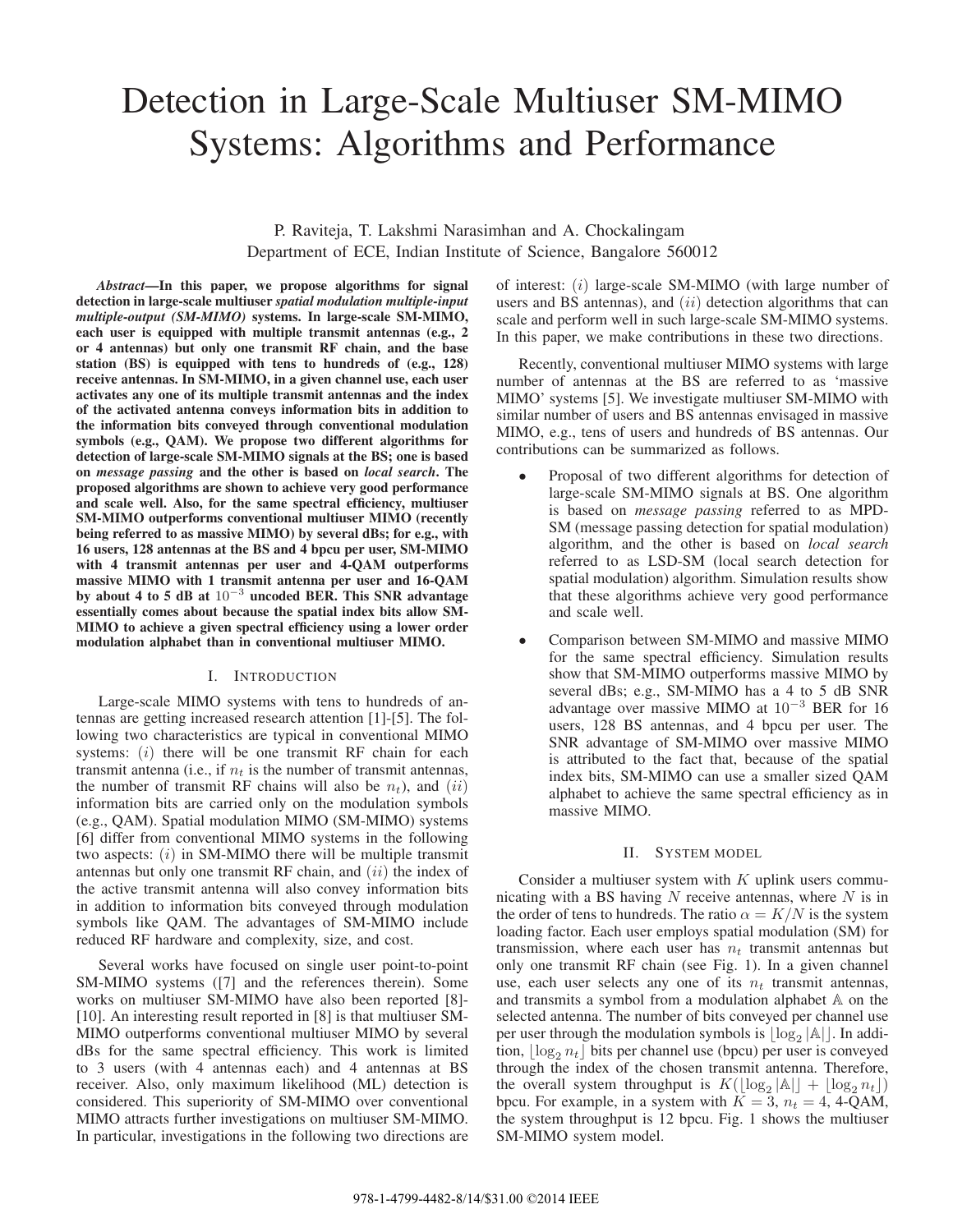# Detection in Large-Scale Multiuser SM-MIMO Systems: Algorithms and Performance

P. Raviteja, T. Lakshmi Narasimhan and A. Chockalingam Department of ECE, Indian Institute of Science, Bangalore 560012

*Abstract***—In this paper, we propose algorithms for signal detection in large-scale multiuser** *spatial modulation multiple-input multiple-output (SM-MIMO)* **systems. In large-scale SM-MIMO, each user is equipped with multiple transmit antennas (e.g., 2 or 4 antennas) but only one transmit RF chain, and the base station (BS) is equipped with tens to hundreds of (e.g., 128) receive antennas. In SM-MIMO, in a given channel use, each user activates any one of its multiple transmit antennas and the index of the activated antenna conveys information bits in addition to the information bits conveyed through conventional modulation symbols (e.g., QAM). We propose two different algorithms for detection of large-scale SM-MIMO signals at the BS; one is based on** *message passing* **and the other is based on** *local search***. The proposed algorithms are shown to achieve very good performance and scale well. Also, for the same spectral efficiency, multiuser SM-MIMO outperforms conventional multiuser MIMO (recently being referred to as massive MIMO) by several dBs; for e.g., with 16 users, 128 antennas at the BS and 4 bpcu per user, SM-MIMO with 4 transmit antennas per user and 4-QAM outperforms massive MIMO with 1 transmit antenna per user and 16-QAM by about 4 to 5 dB at** 10−<sup>3</sup> **uncoded BER. This SNR advantage essentially comes about because the spatial index bits allow SM-MIMO to achieve a given spectral efficiency using a lower order modulation alphabet than in conventional multiuser MIMO.**

## I. INTRODUCTION

Large-scale MIMO systems with tens to hundreds of antennas are getting increased research attention [1]-[5]. The following two characteristics are typical in conventional MIMO systems:  $(i)$  there will be one transmit RF chain for each transmit antenna (i.e., if  $n_t$  is the number of transmit antennas, the number of transmit RF chains will also be  $n_t$ ), and  $(ii)$ information bits are carried only on the modulation symbols (e.g., QAM). Spatial modulation MIMO (SM-MIMO) systems [6] differ from conventional MIMO systems in the following two aspects:  $(i)$  in SM-MIMO there will be multiple transmit antennas but only one transmit RF chain, and  $(ii)$  the index of the active transmit antenna will also convey information bits in addition to information bits conveyed through modulation symbols like QAM. The advantages of SM-MIMO include reduced RF hardware and complexity, size, and cost.

Several works have focused on single user point-to-point SM-MIMO systems ([7] and the references therein). Some works on multiuser SM-MIMO have also been reported [8]- [10]. An interesting result reported in [8] is that multiuser SM-MIMO outperforms conventional multiuser MIMO by several dBs for the same spectral efficiency. This work is limited to 3 users (with 4 antennas each) and 4 antennas at BS receiver. Also, only maximum likelihood (ML) detection is considered. This superiority of SM-MIMO over conventional MIMO attracts further investigations on multiuser SM-MIMO. In particular, investigations in the following two directions are

of interest: (i) large-scale SM-MIMO (with large number of users and BS antennas), and  $(ii)$  detection algorithms that can scale and perform well in such large-scale SM-MIMO systems. In this paper, we make contributions in these two directions.

Recently, conventional multiuser MIMO systems with large number of antennas at the BS are referred to as 'massive MIMO' systems [5]. We investigate multiuser SM-MIMO with similar number of users and BS antennas envisaged in massive MIMO, e.g., tens of users and hundreds of BS antennas. Our contributions can be summarized as follows.

- Proposal of two different algorithms for detection of large-scale SM-MIMO signals at BS. One algorithm is based on *message passing* referred to as MPD-SM (message passing detection for spatial modulation) algorithm, and the other is based on *local search* referred to as LSD-SM (local search detection for spatial modulation) algorithm. Simulation results show that these algorithms achieve very good performance and scale well.
- Comparison between SM-MIMO and massive MIMO for the same spectral efficiency. Simulation results show that SM-MIMO outperforms massive MIMO by several dBs; e.g., SM-MIMO has a 4 to 5 dB SNR advantage over massive MIMO at <sup>10</sup><sup>−</sup><sup>3</sup> BER for 16 users, 128 BS antennas, and 4 bpcu per user. The SNR advantage of SM-MIMO over massive MIMO is attributed to the fact that, because of the spatial index bits, SM-MIMO can use a smaller sized QAM alphabet to achieve the same spectral efficiency as in massive MIMO.

#### II. SYSTEM MODEL

Consider a multiuser system with  $K$  uplink users communicating with a BS having  $N$  receive antennas, where  $N$  is in the order of tens to hundreds. The ratio  $\alpha = K/N$  is the system loading factor. Each user employs spatial modulation (SM) for transmission, where each user has  $n_t$  transmit antennas but only one transmit RF chain (see Fig. 1). In a given channel use, each user selects any one of its <sup>n</sup>*t* transmit antennas, and transmits a symbol from a modulation alphabet A on the selected antenna. The number of bits conveyed per channel use per user through the modulation symbols is  $\lfloor \log_2 |\mathbb{A}| \rfloor$ . In addition  $\lfloor \log_2 n_4 \rfloor$  bits per channel use (bpcu) per user is conveyed tion,  $\lfloor \log_2 n_t \rfloor$  bits per channel use (bpcu) per user is conveyed<br>through the index of the chosen transmit antenna. Therefore through the index of the chosen transmit antenna. Therefore, the overall system throughput is  $K(\lfloor \log_2 |A| \rfloor + \lfloor \log_2 n_t \rfloor)$ <br>hncu. For example in a system with  $K = 3$ ,  $n_t = 4$ , 4-OAM bpcu. For example, in a system with  $K = 3$ ,  $n_t = 4$ , 4-QAM, the system throughput is 12 bpcu. Fig. 1 shows the multiuser SM-MIMO system model.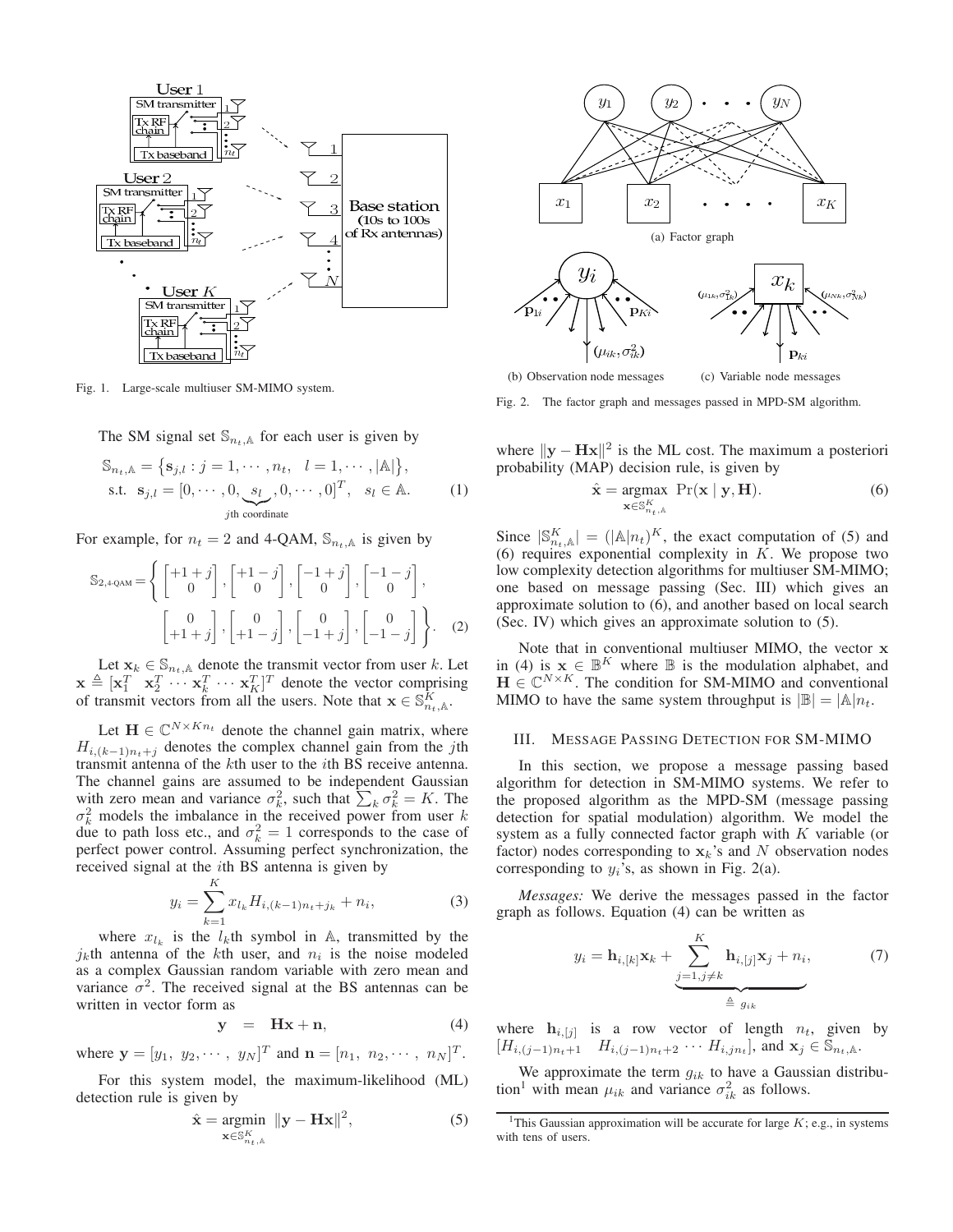

Fig. 1. Large-scale multiuser SM-MIMO system.

The SM signal set  $\mathbb{S}_{n_t,\mathbb{A}}$  for each user is given by

$$
\mathbb{S}_{n_t, \mathbb{A}} = \{ \mathbf{s}_{j,l} : j = 1, \cdots, n_t, \quad l = 1, \cdots, |\mathbb{A}| \},
$$
  
s.t.  $\mathbf{s}_{j,l} = [0, \cdots, 0, \underbrace{s_l}_{j\text{th coordinate}}, 0, \cdots, 0]^T, \quad s_l \in \mathbb{A}.$  (1)

For example, for  $n_t = 2$  and 4-QAM,  $\mathbb{S}_{n_t}$  is given by

$$
\mathbb{S}_{2,4\text{-QAM}} = \left\{ \begin{bmatrix} +1+j \\ 0 \end{bmatrix}, \begin{bmatrix} +1-j \\ 0 \end{bmatrix}, \begin{bmatrix} -1+j \\ 0 \end{bmatrix}, \begin{bmatrix} -1-j \\ 0 \end{bmatrix}, \begin{bmatrix} -1-j \\ 0 \end{bmatrix}, \begin{bmatrix} 0 \\ +1+j \end{bmatrix}, \begin{bmatrix} 0 \\ +1-j \end{bmatrix}, \begin{bmatrix} 0 \\ -1+j \end{bmatrix}, \begin{bmatrix} 0 \\ -1-j \end{bmatrix} \right\}. \quad (2)
$$

Let  $\mathbf{x}_k \in \mathbb{S}_{n_t,k}$  denote the transmit vector from user k. Let  $\mathbf{x} \triangleq [\mathbf{x}_1^T \ \mathbf{x}_2^T \cdots \mathbf{x}_k^T \cdots \mathbf{x}_K^T]^T$  denote the vector comprising of transmit vectors from all the users. Note that  $\mathbf{x} \in \mathbb{S}^K$ . of transmit vectors from all the users. Note that  $\mathbf{x} \in \mathbb{S}_{n_t,\mathbb{A}}^K$ .

Let  $\mathbf{H} \in \mathbb{C}^{N \times K n_t}$  denote the channel gain matrix, where  $H_{i,(k-1)n_t+j}$  denotes the complex channel gain from the jth transmit antenna of the kth user to the ith BS receive antenna. The channel gains are assumed to be independent Gaussian with zero mean and variance  $\sigma_k^2$ , such that  $\sum_k \sigma_k^2 = K$ . The  $\sigma_1^2$  models the imbalance in the received nower from user k  $\sigma_k^2$  models the imbalance in the received power from user k<br>due to path loss etc. and  $\sigma_z^2 = 1$  corresponds to the case of due to path loss etc., and  $\sigma_k^2 = 1$  corresponds to the case of perfect power control. Assuming perfect synchronization the perfect power control. Assuming perfect synchronization, the received signal at the ith BS antenna is given by

$$
y_i = \sum_{k=1}^{K} x_{l_k} H_{i,(k-1)n_t+j_k} + n_i,
$$
 (3)

where  $x_{l_k}$  is the  $l_k$ <sup>th</sup> symbol in A, transmitted by the variance  $x_{l_k}$  is the noise modeled  $j_k$ th antenna of the kth user, and  $n_i$  is the noise modeled as a complex Gaussian random variable with zero mean and variance  $\sigma^2$ . The received signal at the BS antennas can be written in vector form as

$$
y = Hx + n,\t(4)
$$

where  $\mathbf{y} = [y_1, y_2, \cdots, y_N]^T$  and  $\mathbf{n} = [n_1, n_2, \cdots, n_N]^T$ .

For this system model, the maximum-likelihood (ML) detection rule is given by

$$
\hat{\mathbf{x}} = \underset{\mathbf{x} \in \mathbb{S}_{n_t,\mathbb{A}}^K}{\text{argmin}} \ \|\mathbf{y} - \mathbf{H}\mathbf{x}\|^2, \tag{5}
$$



(b) Observation node messages (c) Variable node messages

Fig. 2. The factor graph and messages passed in MPD-SM algorithm.

where  $\|\mathbf{y} - \mathbf{Hx}\|^2$  is the ML cost. The maximum a posteriori probability (MAP) decision rule, is given by

$$
\hat{\mathbf{x}} = \underset{\mathbf{x} \in \mathbb{S}_{n_t,\mathbb{A}}^K}{\text{argmax}} \ \Pr(\mathbf{x} \mid \mathbf{y}, \mathbf{H}). \tag{6}
$$

Since  $|\mathbb{S}_{n_t,\mathbb{A}}^K| = (|\mathbb{A}|n_t)^K$ , the exact computation of (5) and (6) requires exponential complexity in K. We propose two (6) requires exponential complexity in  $K$ . We propose two low complexity detection algorithms for multiuser  $SM-MIMO$ low complexity detection algorithms for multiuser SM-MIMO; one based on message passing (Sec. III) which gives an approximate solution to (6), and another based on local search (Sec. IV) which gives an approximate solution to (5).

Note that in conventional multiuser MIMO, the vector **x** in (4) is  $\mathbf{x} \in \mathbb{B}^K$  where  $\mathbb{B}$  is the modulation alphabet, and  $\mathbf{H} \in \mathbb{C}^{N \times K}$ . The condition for SM-MIMO and conventional MIMO to have the same system throughput is  $|\mathbb{B}| = |\mathbb{A}| n_t$ .

## III. MESSAGE PASSING DETECTION FOR SM-MIMO

In this section, we propose a message passing based algorithm for detection in SM-MIMO systems. We refer to the proposed algorithm as the MPD-SM (message passing detection for spatial modulation) algorithm. We model the system as a fully connected factor graph with K variable (or factor) nodes corresponding to  $\mathbf{x}_k$ 's and N observation nodes corresponding to  $y_i$ 's, as shown in Fig. 2(a).

*Messages:* We derive the messages passed in the factor graph as follows. Equation (4) can be written as

$$
y_i = \mathbf{h}_{i,[k]} \mathbf{x}_k + \underbrace{\sum_{j=1,j\neq k}^K \mathbf{h}_{i,[j]} \mathbf{x}_j + n_i}_{\triangleq g_{ik}},\tag{7}
$$

where  $\mathbf{h}_{i,[j]}$  is a row vector of length  $n_t$ , given by  $[H_{i,(j-1)n_t+1}$   $H_{i,(j-1)n_t+2}$  ···  $H_{i,jn_t}$ , and  $\mathbf{x}_j \in \mathbb{S}_{n_t,\mathbb{A}}$ .

We approximate the term <sup>g</sup>*ik* to have a Gaussian distribution<sup>1</sup> with mean  $\mu_{ik}$  and variance  $\sigma_{ik}^2$  as follows.

<sup>&</sup>lt;sup>1</sup>This Gaussian approximation will be accurate for large  $K$ ; e.g., in systems with tens of users.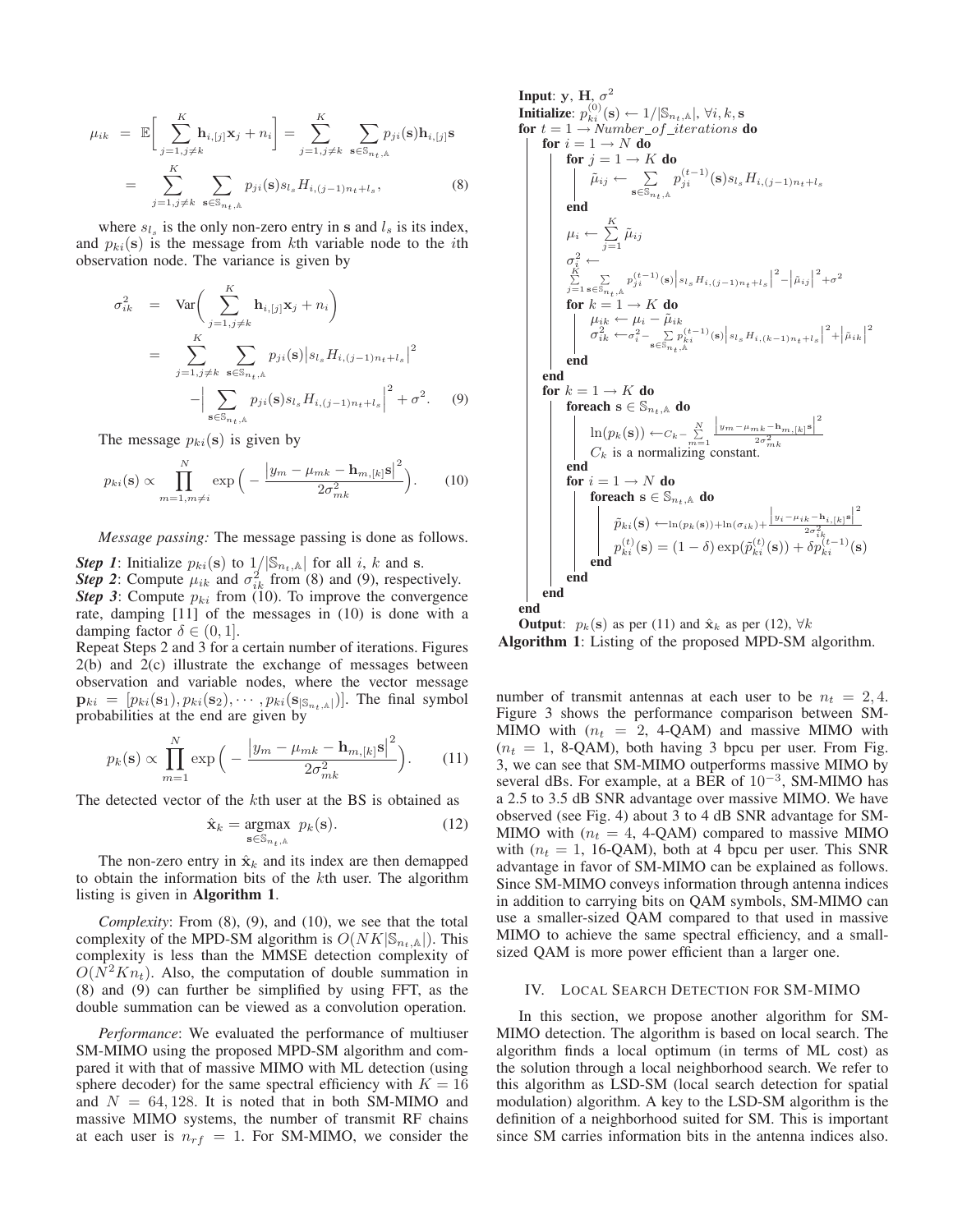$$
\mu_{ik} = \mathbb{E}\bigg[\sum_{j=1, j\neq k}^{K} \mathbf{h}_{i,[j]} \mathbf{x}_{j} + n_{i}\bigg] = \sum_{j=1, j\neq k}^{K} \sum_{\mathbf{s} \in \mathbb{S}_{n_{t},\mathbb{A}}} p_{ji}(\mathbf{s}) \mathbf{h}_{i,[j]} \mathbf{s}
$$

$$
= \sum_{j=1, j\neq k}^{K} \sum_{\mathbf{s} \in \mathbb{S}_{n_{t},\mathbb{A}}} p_{ji}(\mathbf{s}) s_{l_{s}} H_{i,(j-1)n_{t}+l_{s}}, \tag{8}
$$

where  $s_{l_s}$  is the only non-zero entry in **s** and  $l_s$  is its index, and  $p_{ki}(s)$  is the message from kth variable node to the *i*th observation node. The variance is given by

$$
\sigma_{ik}^{2} = \text{Var}\bigg(\sum_{j=1, j\neq k}^{K} \mathbf{h}_{i,[j]} \mathbf{x}_{j} + n_{i}\bigg)
$$
\n
$$
= \sum_{j=1, j\neq k}^{K} \sum_{\mathbf{s} \in \mathbb{S}_{n_{t},\mathbb{A}}} p_{ji}(\mathbf{s}) |s_{l_{s}} H_{i,(j-1)n_{t}+l_{s}}|^{2}
$$
\n
$$
- \Big| \sum_{\mathbf{s} \in \mathbb{S}_{n_{t},\mathbb{A}}} p_{ji}(\mathbf{s}) s_{l_{s}} H_{i,(j-1)n_{t}+l_{s}}|^{2} + \sigma^{2}.
$$
\n(9)

The message  $p_{ki}(\mathbf{s})$  is given by

$$
p_{ki}(\mathbf{s}) \propto \prod_{m=1, m \neq i}^{N} \exp\Big(-\frac{\big|y_m - \mu_{mk} - \mathbf{h}_{m,[k]} \mathbf{s}\big|^2}{2\sigma_{mk}^2}\Big). \tag{10}
$$

*Message passing:* The message passing is done as follows.

*Step 1*: Initialize  $p_{ki}(\mathbf{s})$  to  $1/|\mathbb{S}_{n_t,k}|$  for all i, k and **s**. **Step 2:** Compute  $\mu_{ik}$  and  $\sigma_{ik}^2$  from (8) and (9), respectively.<br>**Step 3:** Compute  $p_{ki}$  from (10) To improve the convergence *Step 3*: Compute  $p_{ki}$  from (10). To improve the convergence rate, damping [11] of the messages in (10) is done with a damping factor  $\delta \in (0, 1]$ .

Repeat Steps 2 and 3 for a certain number of iterations. Figures 2(b) and 2(c) illustrate the exchange of messages between observation and variable nodes, where the vector message  $\mathbf{p}_{ki} = [p_{ki}(\mathbf{s}_1), p_{ki}(\mathbf{s}_2), \cdots, p_{ki}(\mathbf{s}_{|\mathbb{S}_{n_i}, \mathbb{A}|})].$  The final symbol probabilities at the end are given by

$$
p_k(\mathbf{s}) \propto \prod_{m=1}^N \exp\Big(-\frac{\left|y_m - \mu_{mk} - \mathbf{h}_{m,[k]} \mathbf{s}\right|^2}{2\sigma_{mk}^2}\Big). \tag{11}
$$

The detected vector of the kth user at the BS is obtained as

$$
\hat{\mathbf{x}}_k = \underset{\mathbf{s} \in \mathbb{S}_{n_t,\mathbb{A}}}{\text{argmax}} \ p_k(\mathbf{s}).\tag{12}
$$

The non-zero entry in  $\hat{\mathbf{x}}_k$  and its index are then demapped to obtain the information bits of the kth user. The algorithm listing is given in **Algorithm 1**.

*Complexity*: From (8), (9), and (10), we see that the total complexity of the MPD-SM algorithm is  $O(NK|\mathbb{S}_{n_t,\mathbb{A}}|)$ . This complexity is less than the MMSE detection complexity of  $O(N^2Kn_t)$ . Also, the computation of double summation in (8) and (9) can further be simplified by using FFT, as the double summation can be viewed as a convolution operation.

*Performance*: We evaluated the performance of multiuser SM-MIMO using the proposed MPD-SM algorithm and compared it with that of massive MIMO with ML detection (using sphere decoder) for the same spectral efficiency with  $K = 16$ and  $N = 64, 128$ . It is noted that in both SM-MIMO and massive MIMO systems, the number of transmit RF chains at each user is  $n_{rf} = 1$ . For SM-MIMO, we consider the

Input: y, H, 
$$
\sigma^2
$$
  
\n**Initialize:**  $p_{ki}^{(0)}(\mathbf{s}) \leftarrow 1/|\mathbb{S}_{n_t,k}|$ ,  $\forall i, k, \mathbf{s}$   
\nfor  $t = 1 \rightarrow Number_{of\_iterations} \mathbf{do}$   
\nfor  $i = 1 \rightarrow N \mathbf{ do}$   
\nfor  $j = 1 \rightarrow K \mathbf{ do}$   
\nfor  $j = 1 \rightarrow K \mathbf{ do}$   
\n $\tilde{\mu}_{ij} \leftarrow \sum_{\mathbf{s} \in \mathbb{S}_{n_t,k}} p_{ji}^{(t-1)}(\mathbf{s}) s_{l_s} H_{i,(j-1)n_t+l_s}$   
\nend  
\n $\mu_i \leftarrow \sum_{j=1}^K \tilde{\mu}_{ij}$   
\n $\sigma_i^2 \leftarrow$   
\n $\sum_{j=1}^K \sum_{\mathbf{s} \in \mathbb{S}_{n_t,k}} p_{ji}^{(t-1)}(\mathbf{s}) |s_{l_s} H_{i,(j-1)n_t+l_s}|^2 - |\tilde{\mu}_{ij}|^2 + \sigma^2$   
\nfor  $k = 1 \rightarrow K \mathbf{ do}$   
\n $\mu_{ik} \leftarrow \mu_i - \tilde{\mu}_{ik}$   
\n $\sigma_{ik}^2 \leftarrow \sigma_i^2 - \sum_{\mathbf{s} \in \mathbb{S}_{n_t,k}} p_{ik}^{(t-1)}(\mathbf{s}) |s_{l_s} H_{i,(k-1)n_t+l_s}|^2 + |\tilde{\mu}_{ik}|^2$   
\nend  
\nend  
\nfor  $k = 1 \rightarrow K \mathbf{ do}$   
\nfor each  $\mathbf{s} \in \mathbb{S}_{n_t,k} \mathbf{ do}$   
\n $\ln(p_k(\mathbf{s})) \leftarrow C_k - \sum_{m=1}^N \frac{|y_m - \mu_{mk} - \mathbf{h}_{m,[k]} \mathbf{s}|^2}{2\sigma_{mk}^2}$   
\nend  
\nfor  $i = 1 \rightarrow N \mathbf{ do}$   
\nfor  $i = 1 \rightarrow N \mathbf{ do}$   
\nfor each  $\mathbf{s} \in \mathbb{S}_{n_t,k} \mathbf{ do}$   
\n $\tilde{p}_{ki}(\mathbf{s}) \leftarrow \ln(p_k(\mathbf{s})) + \ln(\sigma_{ik}) + \frac{|y_i - \mu_{$ 

**Output**:  $p_k(s)$  as per (11) and  $\hat{\mathbf{x}}_k$  as per (12),  $\forall k$ **Algorithm 1**: Listing of the proposed MPD-SM algorithm.

number of transmit antennas at each user to be  $n_t = 2, 4$ . Figure 3 shows the performance comparison between SM-MIMO with  $(n_t = 2, 4\text{-QAM})$  and massive MIMO with  $(n_t = 1, 8\text{-QAM})$ , both having 3 bpcu per user. From Fig. 3, we can see that SM-MIMO outperforms massive MIMO by several dBs. For example, at a BER of  $10^{-3}$ , SM-MIMO has a 2.5 to 3.5 dB SNR advantage over massive MIMO. We have observed (see Fig. 4) about 3 to 4 dB SNR advantage for SM-MIMO with  $(n_t = 4, 4\text{-QAM})$  compared to massive MIMO with  $(n_t = 1, 16\text{-QAM})$ , both at 4 bpcu per user. This SNR advantage in favor of SM-MIMO can be explained as follows. Since SM-MIMO conveys information through antenna indices in addition to carrying bits on QAM symbols, SM-MIMO can use a smaller-sized QAM compared to that used in massive MIMO to achieve the same spectral efficiency, and a smallsized QAM is more power efficient than a larger one.

## IV. LOCAL SEARCH DETECTION FOR SM-MIMO

In this section, we propose another algorithm for SM-MIMO detection. The algorithm is based on local search. The algorithm finds a local optimum (in terms of ML cost) as the solution through a local neighborhood search. We refer to this algorithm as LSD-SM (local search detection for spatial modulation) algorithm. A key to the LSD-SM algorithm is the definition of a neighborhood suited for SM. This is important since SM carries information bits in the antenna indices also.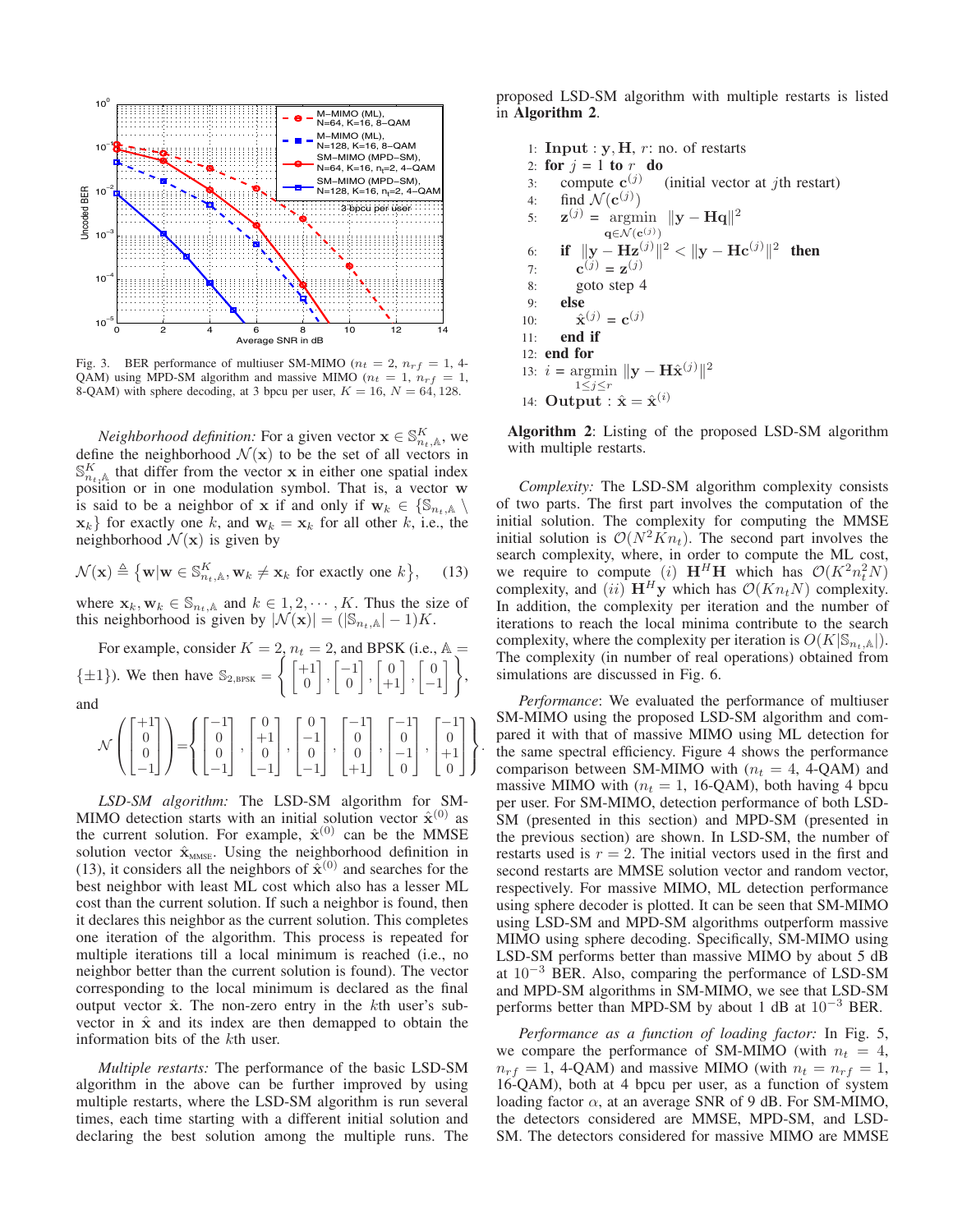

Fig. 3. BER performance of multiuser SM-MIMO ( $n_t = 2$ ,  $n_{rf} = 1$ , 4-QAM) using MPD-SM algorithm and massive MIMO ( $n_t = 1$ ,  $n_{rf} = 1$ , 8-QAM) with sphere decoding, at 3 bpcu per user,  $K = 16$ ,  $N = 64$ , 128.

*Neighborhood definition:* For a given vector  $\mathbf{x} \in \mathbb{S}_{n_t,\mathbb{A}}^K$ , we need the neighborhood  $\mathcal{N}(\mathbf{x})$  to be the set of all vectors in define the neighborhood  $\mathcal{N}(\mathbf{x})$  to be the set of all vectors in  $\mathbb{S}_{n_t,\mathbb{A}}^K$  that differ from the vector **x** in either one spatial index nosition or in one modulation symbol. That is a vector **w** position or in one modulation symbol. That is, a vector **w** is said to be a neighbor of **x** if and only if  $\mathbf{w}_k \in \{\mathbb{S}_{n_t,\mathbb{A}}\setminus\mathbb{S}_{n_t,\mathbb{A}}\}$  $\mathbf{x}_k$  for exactly one k, and  $\mathbf{w}_k = \mathbf{x}_k$  for all other k, i.e., the neighborhood  $\mathcal{N}(\mathbf{x})$  is given by

$$
\mathcal{N}(\mathbf{x}) \triangleq \{ \mathbf{w} | \mathbf{w} \in \mathbb{S}_{n_t, \mathbb{A}}^K, \mathbf{w}_k \neq \mathbf{x}_k \text{ for exactly one } k \}, \quad (13)
$$

where  $\mathbf{x}_k, \mathbf{w}_k \in \mathbb{S}_{n_t, \mathbb{A}}$  and  $k \in 1, 2, \cdots, K$ . Thus the size of this neighborhood is given by  $|\mathcal{N}(\mathbf{x})| = (|\mathbb{S}_{n_t, \mathbb{A}}| - 1)K$ .

For example, consider  $K = 2$ ,  $n_t = 2$ , and BPSK (i.e.,  $\mathbb{A} = \begin{bmatrix} 1 & 1 & 0 & 1 \\ 0 & 1 & 0 & 0 \\ 0 & 0 & 0 & 0 \end{bmatrix}$  $\{\pm 1\}$ ). We then have  $\mathbb{S}_{2,\text{BPSK}} = \left\{ \begin{bmatrix} +1 \\ 0 \end{bmatrix} \right\}$  $\boldsymbol{0}$  $\Big\}$ ,  $\Big\lceil \frac{-1}{0} \Big\rceil$  $\begin{bmatrix} 0 \\ +1 \end{bmatrix}$ ,  $\begin{bmatrix} 0 \\ -1 \end{bmatrix}$ −1  $\big\}$ , and

$$
\mathcal{N}\left(\begin{bmatrix} +1\\0\\0\\-1 \end{bmatrix}\right) = \left\{\begin{bmatrix} -1\\0\\0\\-1 \end{bmatrix}, \begin{bmatrix} 0\\+1\\0\\-1 \end{bmatrix}, \begin{bmatrix} 0\\-1\\0\\-1 \end{bmatrix}, \begin{bmatrix} -1\\0\\0\\+1 \end{bmatrix}, \begin{bmatrix} -1\\0\\-1\\0 \end{bmatrix}, \begin{bmatrix} -1\\0\\+1\\0 \end{bmatrix}\right\}
$$

.

*LSD-SM algorithm:* The LSD-SM algorithm for SM-MIMO detection starts with an initial solution vector  $\hat{\mathbf{x}}^{(0)}$  as the current solution. For example,  $\hat{\mathbf{x}}^{(0)}$  can be the MMSE solution vector  $\hat{\mathbf{x}}_{MMSE}$ . Using the neighborhood definition in (13), it considers all the neighbors of  $\tilde{\mathbf{x}}^{(0)}$  and searches for the best neighbor with least ML cost which also has a lesser ML cost than the current solution. If such a neighbor is found, then it declares this neighbor as the current solution. This completes one iteration of the algorithm. This process is repeated for multiple iterations till a local minimum is reached (i.e., no neighbor better than the current solution is found). The vector corresponding to the local minimum is declared as the final output vector  $\hat{x}$ . The non-zero entry in the kth user's subvector in  $\hat{x}$  and its index are then demapped to obtain the information bits of the kth user.

*Multiple restarts:* The performance of the basic LSD-SM algorithm in the above can be further improved by using multiple restarts, where the LSD-SM algorithm is run several times, each time starting with a different initial solution and declaring the best solution among the multiple runs. The

proposed LSD-SM algorithm with multiple restarts is listed in **Algorithm 2**.

1: **Input** :  $y$ ,  $H$ ,  $r$ : no. of restarts 2: **for**  $j = 1$  **to**  $r$  **do**<br>3: compute  $c^{(j)}$ 3: compute  $\mathbf{c}^{(j)}$  (initial vector at *j*th restart)<br>4: find  $\mathcal{N}(\mathbf{c}^{(j)})$ 4: find  $\mathcal{N}(\mathbf{c}^{(j)})$ <br>5:  $\mathbf{z}^{(j)} = \text{argmin}$ 5:  $\mathbf{z}^{(j)} = \underset{\mathbf{q} \in \mathcal{N}(\mathbf{c}^{(j)})}{\arg\min} ||\mathbf{y} - \mathbf{H}\mathbf{q}||^2$ **q**∈N(**c**(*j*)) 6: **if**  $\|\mathbf{y} - \mathbf{Hz}^{(j)}\|^2 < \|\mathbf{y} - \mathbf{Hc}^{(j)}\|^2$  then<br>7:  $\mathbf{c}^{(j)} = \mathbf{z}^{(j)}$ 7:  $\mathbf{c}^{(j)} = \mathbf{z}^{(j)}$ 8: goto step 4 9: **else** 10:  $\hat{\mathbf{x}}^{(j)} = \mathbf{c}^{(j)}$ <br>11: **end if** end if 12: **end for** 13:  $i = \operatorname*{argmin}_{1 \leq j \leq r} \|y - \mathbf{H}\hat{\mathbf{x}}^{(j)}\|^2$ <sup>1</sup>≤*j*≤*r* 14: **Output** :  $\hat{x} = \hat{x}^{(i)}$ 

**Algorithm 2**: Listing of the proposed LSD-SM algorithm with multiple restarts.

*Complexity:* The LSD-SM algorithm complexity consists of two parts. The first part involves the computation of the initial solution. The complexity for computing the MMSE initial solution is  $O(N^2Kn_t)$ . The second part involves the search complexity, where, in order to compute the ML cost, we require to compute (i)  $\mathbf{H}^H \mathbf{H}$  which has  $\mathcal{O}(K^2 n_t^2 N)$ complexity, and  $(ii)$   $\mathbf{H}^H\mathbf{y}$  which has  $\mathcal{O}(Kn_tN)$  complexity.<br>In addition, the complexity per iteration and the number of In addition, the complexity per iteration and the number of iterations to reach the local minima contribute to the search complexity, where the complexity per iteration is  $O(K|\mathbb{S}_{n_t,\mathbb{A}}|)$ . The complexity (in number of real operations) obtained from simulations are discussed in Fig. 6.

*Performance*: We evaluated the performance of multiuser SM-MIMO using the proposed LSD-SM algorithm and compared it with that of massive MIMO using ML detection for the same spectral efficiency. Figure 4 shows the performance comparison between SM-MIMO with  $(n_t = 4, 4$ -QAM) and massive MIMO with  $(n_t = 1, 16\text{-QAM})$ , both having 4 bpcu per user. For SM-MIMO, detection performance of both LSD-SM (presented in this section) and MPD-SM (presented in the previous section) are shown. In LSD-SM, the number of restarts used is  $r = 2$ . The initial vectors used in the first and second restarts are MMSE solution vector and random vector, respectively. For massive MIMO, ML detection performance using sphere decoder is plotted. It can be seen that SM-MIMO using LSD-SM and MPD-SM algorithms outperform massive MIMO using sphere decoding. Specifically, SM-MIMO using LSD-SM performs better than massive MIMO by about 5 dB at <sup>10</sup><sup>−</sup><sup>3</sup> BER. Also, comparing the performance of LSD-SM and MPD-SM algorithms in SM-MIMO, we see that LSD-SM performs better than MPD-SM by about 1 dB at <sup>10</sup><sup>−</sup><sup>3</sup> BER.

*Performance as a function of loading factor:* In Fig. 5, we compare the performance of SM-MIMO (with  $n_t = 4$ ,  $n_{rf} = 1$ , 4-QAM) and massive MIMO (with  $n_t = n_{rf} = 1$ , 16-QAM), both at 4 bpcu per user, as a function of system loading factor  $\alpha$ , at an average SNR of 9 dB. For SM-MIMO, the detectors considered are MMSE, MPD-SM, and LSD-SM. The detectors considered for massive MIMO are MMSE